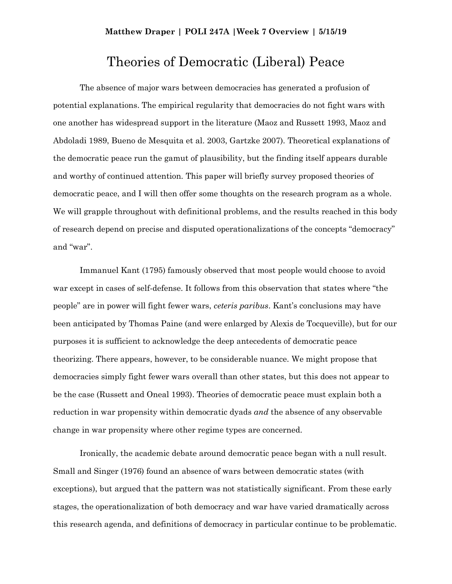## **Matthew Draper | POLI 247A |Week 7 Overview | 5/15/19**

## Theories of Democratic (Liberal) Peace

The absence of major wars between democracies has generated a profusion of potential explanations. The empirical regularity that democracies do not fight wars with one another has widespread support in the literature (Maoz and Russett 1993, Maoz and Abdoladi 1989, Bueno de Mesquita et al. 2003, Gartzke 2007). Theoretical explanations of the democratic peace run the gamut of plausibility, but the finding itself appears durable and worthy of continued attention. This paper will briefly survey proposed theories of democratic peace, and I will then offer some thoughts on the research program as a whole. We will grapple throughout with definitional problems, and the results reached in this body of research depend on precise and disputed operationalizations of the concepts "democracy" and "war".

Immanuel Kant (1795) famously observed that most people would choose to avoid war except in cases of self-defense. It follows from this observation that states where "the people" are in power will fight fewer wars, *ceteris paribus*. Kant's conclusions may have been anticipated by Thomas Paine (and were enlarged by Alexis de Tocqueville), but for our purposes it is sufficient to acknowledge the deep antecedents of democratic peace theorizing. There appears, however, to be considerable nuance. We might propose that democracies simply fight fewer wars overall than other states, but this does not appear to be the case (Russett and Oneal 1993). Theories of democratic peace must explain both a reduction in war propensity within democratic dyads *and* the absence of any observable change in war propensity where other regime types are concerned.

Ironically, the academic debate around democratic peace began with a null result. Small and Singer (1976) found an absence of wars between democratic states (with exceptions), but argued that the pattern was not statistically significant. From these early stages, the operationalization of both democracy and war have varied dramatically across this research agenda, and definitions of democracy in particular continue to be problematic.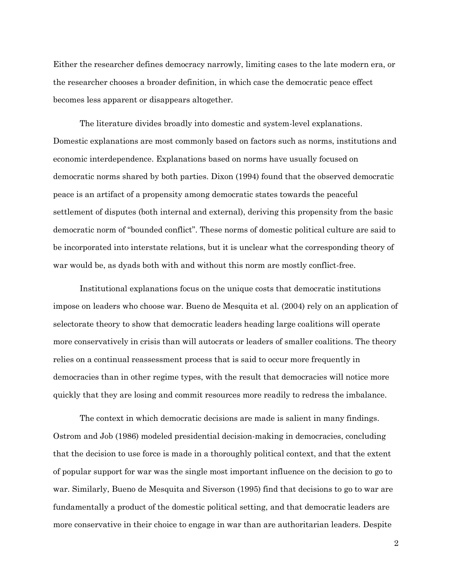Either the researcher defines democracy narrowly, limiting cases to the late modern era, or the researcher chooses a broader definition, in which case the democratic peace effect becomes less apparent or disappears altogether.

The literature divides broadly into domestic and system-level explanations. Domestic explanations are most commonly based on factors such as norms, institutions and economic interdependence. Explanations based on norms have usually focused on democratic norms shared by both parties. Dixon (1994) found that the observed democratic peace is an artifact of a propensity among democratic states towards the peaceful settlement of disputes (both internal and external), deriving this propensity from the basic democratic norm of "bounded conflict". These norms of domestic political culture are said to be incorporated into interstate relations, but it is unclear what the corresponding theory of war would be, as dyads both with and without this norm are mostly conflict-free.

Institutional explanations focus on the unique costs that democratic institutions impose on leaders who choose war. Bueno de Mesquita et al. (2004) rely on an application of selectorate theory to show that democratic leaders heading large coalitions will operate more conservatively in crisis than will autocrats or leaders of smaller coalitions. The theory relies on a continual reassessment process that is said to occur more frequently in democracies than in other regime types, with the result that democracies will notice more quickly that they are losing and commit resources more readily to redress the imbalance.

The context in which democratic decisions are made is salient in many findings. Ostrom and Job (1986) modeled presidential decision-making in democracies, concluding that the decision to use force is made in a thoroughly political context, and that the extent of popular support for war was the single most important influence on the decision to go to war. Similarly, Bueno de Mesquita and Siverson (1995) find that decisions to go to war are fundamentally a product of the domestic political setting, and that democratic leaders are more conservative in their choice to engage in war than are authoritarian leaders. Despite

2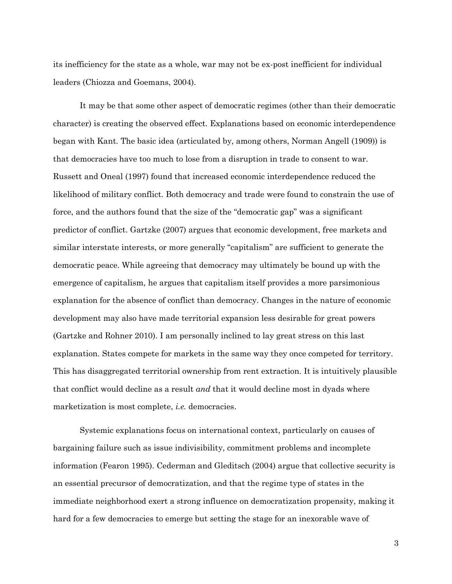its inefficiency for the state as a whole, war may not be ex-post inefficient for individual leaders (Chiozza and Goemans, 2004).

It may be that some other aspect of democratic regimes (other than their democratic character) is creating the observed effect. Explanations based on economic interdependence began with Kant. The basic idea (articulated by, among others, Norman Angell (1909)) is that democracies have too much to lose from a disruption in trade to consent to war. Russett and Oneal (1997) found that increased economic interdependence reduced the likelihood of military conflict. Both democracy and trade were found to constrain the use of force, and the authors found that the size of the "democratic gap" was a significant predictor of conflict. Gartzke (2007) argues that economic development, free markets and similar interstate interests, or more generally "capitalism" are sufficient to generate the democratic peace. While agreeing that democracy may ultimately be bound up with the emergence of capitalism, he argues that capitalism itself provides a more parsimonious explanation for the absence of conflict than democracy. Changes in the nature of economic development may also have made territorial expansion less desirable for great powers (Gartzke and Rohner 2010). I am personally inclined to lay great stress on this last explanation. States compete for markets in the same way they once competed for territory. This has disaggregated territorial ownership from rent extraction. It is intuitively plausible that conflict would decline as a result *and* that it would decline most in dyads where marketization is most complete, *i.e.* democracies.

Systemic explanations focus on international context, particularly on causes of bargaining failure such as issue indivisibility, commitment problems and incomplete information (Fearon 1995). Cederman and Gleditsch (2004) argue that collective security is an essential precursor of democratization, and that the regime type of states in the immediate neighborhood exert a strong influence on democratization propensity, making it hard for a few democracies to emerge but setting the stage for an inexorable wave of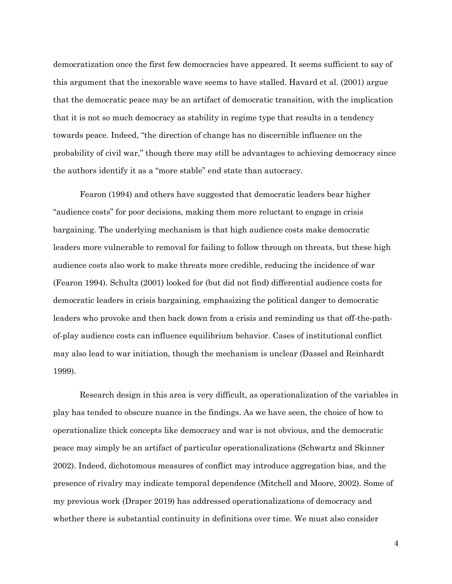democratization once the first few democracies have appeared. It seems sufficient to say of this argument that the inexorable wave seems to have stalled. Havard et al. (2001) argue that the democratic peace may be an artifact of democratic transition, with the implication that it is not so much democracy as stability in regime type that results in a tendency towards peace. Indeed, "the direction of change has no discernible influence on the probability of civil war," though there may still be advantages to achieving democracy since the authors identify it as a "more stable" end state than autocracy.

Fearon (1994) and others have suggested that democratic leaders bear higher "audience costs" for poor decisions, making them more reluctant to engage in crisis bargaining. The underlying mechanism is that high audience costs make democratic leaders more vulnerable to removal for failing to follow through on threats, but these high audience costs also work to make threats more credible, reducing the incidence of war (Fearon 1994). Schultz (2001) looked for (but did not find) differential audience costs for democratic leaders in crisis bargaining, emphasizing the political danger to democratic leaders who provoke and then back down from a crisis and reminding us that off-the-pathof-play audience costs can influence equilibrium behavior. Cases of institutional conflict may also lead to war initiation, though the mechanism is unclear (Dassel and Reinhardt 1999).

Research design in this area is very difficult, as operationalization of the variables in play has tended to obscure nuance in the findings. As we have seen, the choice of how to operationalize thick concepts like democracy and war is not obvious, and the democratic peace may simply be an artifact of particular operationalizations (Schwartz and Skinner 2002). Indeed, dichotomous measures of conflict may introduce aggregation bias, and the presence of rivalry may indicate temporal dependence (Mitchell and Moore, 2002). Some of my previous work (Draper 2019) has addressed operationalizations of democracy and whether there is substantial continuity in definitions over time. We must also consider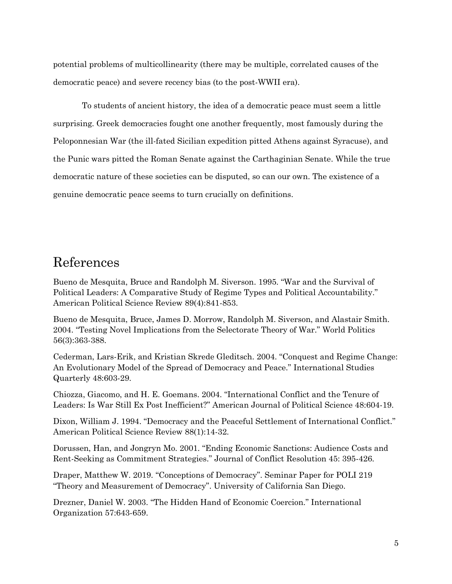potential problems of multicollinearity (there may be multiple, correlated causes of the democratic peace) and severe recency bias (to the post-WWII era).

To students of ancient history, the idea of a democratic peace must seem a little surprising. Greek democracies fought one another frequently, most famously during the Peloponnesian War (the ill-fated Sicilian expedition pitted Athens against Syracuse), and the Punic wars pitted the Roman Senate against the Carthaginian Senate. While the true democratic nature of these societies can be disputed, so can our own. The existence of a genuine democratic peace seems to turn crucially on definitions.

## References

Bueno de Mesquita, Bruce and Randolph M. Siverson. 1995. "War and the Survival of Political Leaders: A Comparative Study of Regime Types and Political Accountability." American Political Science Review 89(4):841-853.

Bueno de Mesquita, Bruce, James D. Morrow, Randolph M. Siverson, and Alastair Smith. 2004. "Testing Novel Implications from the Selectorate Theory of War." World Politics 56(3):363-388.

Cederman, Lars-Erik, and Kristian Skrede Gleditsch. 2004. "Conquest and Regime Change: An Evolutionary Model of the Spread of Democracy and Peace." International Studies Quarterly 48:603-29.

Chiozza, Giacomo, and H. E. Goemans. 2004. "International Conflict and the Tenure of Leaders: Is War Still Ex Post Inefficient?" American Journal of Political Science 48:604-19.

Dixon, William J. 1994. "Democracy and the Peaceful Settlement of International Conflict." American Political Science Review 88(1):14-32.

Dorussen, Han, and Jongryn Mo. 2001. "Ending Economic Sanctions: Audience Costs and Rent-Seeking as Commitment Strategies." Journal of Conflict Resolution 45: 395-426.

Draper, Matthew W. 2019. "Conceptions of Democracy". Seminar Paper for POLI 219 "Theory and Measurement of Democracy". University of California San Diego.

Drezner, Daniel W. 2003. "The Hidden Hand of Economic Coercion." International Organization 57:643-659.